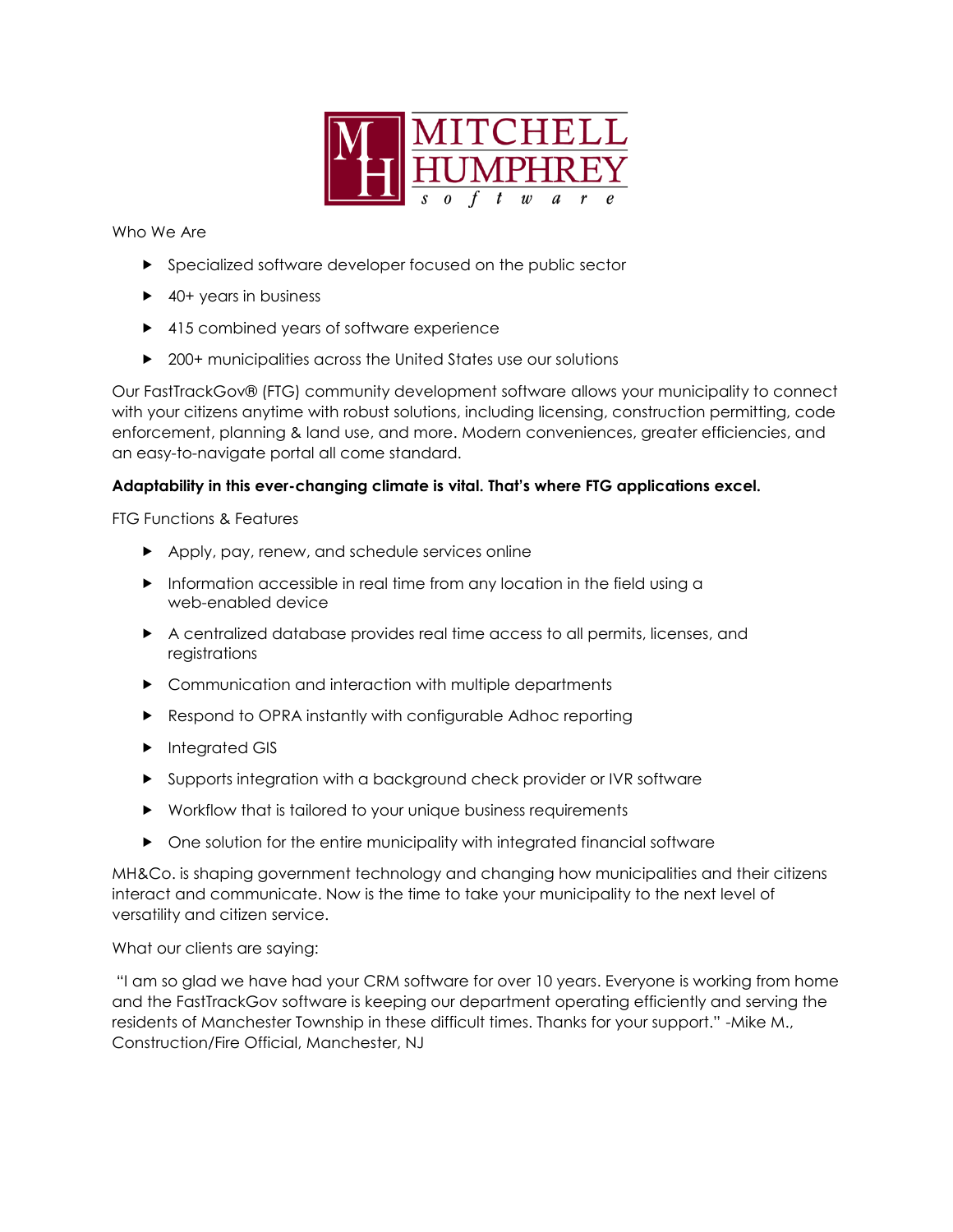

Who We Are

- **Specialized software developer focused on the public sector**
- ▶ 40+ years in business
- ▶ 415 combined years of software experience
- ▶ 200+ municipalities across the United States use our solutions

Our FastTrackGov® (FTG) community development software allows your municipality to connect with your citizens anytime with robust solutions, including licensing, construction permitting, code enforcement, planning & land use, and more. Modern conveniences, greater efficiencies, and an easy-to-navigate portal all come standard.

## **Adaptability in this ever-changing climate is vital. That's where FTG applications excel.**

FTG Functions & Features

- Apply, pay, renew, and schedule services online
- Information accessible in real time from any location in the field using a web-enabled device
- A centralized database provides real time access to all permits, licenses, and registrations
- Communication and interaction with multiple departments
- Respond to OPRA instantly with configurable Adhoc reporting
- **Integrated GIS**
- Supports integration with a background check provider or IVR software
- Workflow that is tailored to your unique business requirements
- One solution for the entire municipality with integrated financial software

MH&Co. is shaping government technology and changing how municipalities and their citizens interact and communicate. Now is the time to take your municipality to the next level of versatility and citizen service.

What our clients are saying:

"I am so glad we have had your CRM software for over 10 years. Everyone is working from home and the FastTrackGov software is keeping our department operating efficiently and serving the residents of Manchester Township in these difficult times. Thanks for your support." -Mike M., Construction/Fire Official, Manchester, NJ